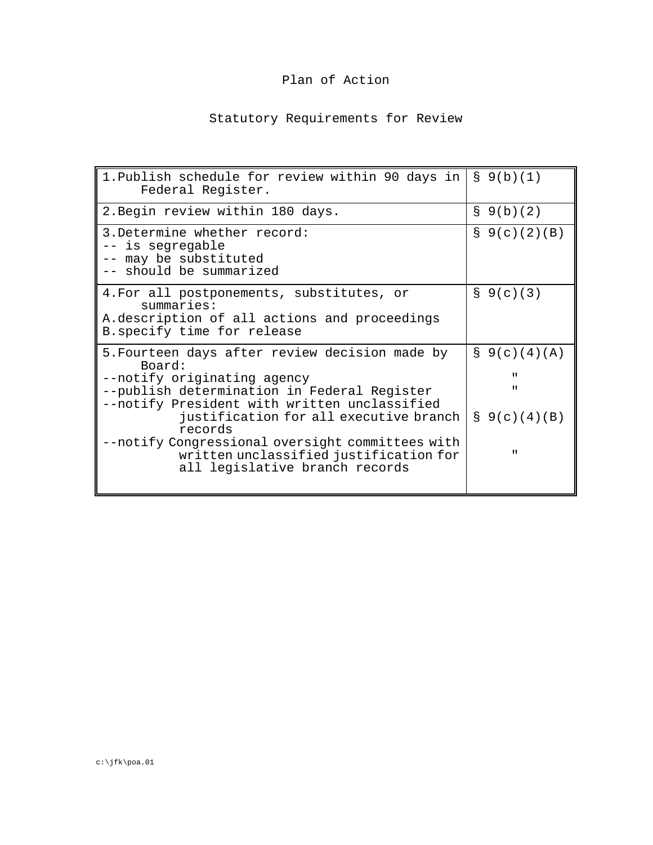## Plan of Action

## Statutory Requirements for Review

| 1. Publish schedule for review within 90 days in<br>Federal Register.                                                                                                                                                                                                                                                                                                       | $\S$ 9(b)(1)                                                                                                 |
|-----------------------------------------------------------------------------------------------------------------------------------------------------------------------------------------------------------------------------------------------------------------------------------------------------------------------------------------------------------------------------|--------------------------------------------------------------------------------------------------------------|
| 2. Begin review within 180 days.                                                                                                                                                                                                                                                                                                                                            | $\S$ 9(b)(2)                                                                                                 |
| 3. Determine whether record:<br>-- is segregable<br>-- may be substituted<br>-- should be summarized                                                                                                                                                                                                                                                                        | $S$ 9(c)(2)(B)                                                                                               |
| 4. For all postponements, substitutes, or<br>summaries:<br>A.description of all actions and proceedings<br>B. specify time for release                                                                                                                                                                                                                                      | $\S$ 9(c)(3)                                                                                                 |
| 5. Fourteen days after review decision made by<br>Board:<br>--notify originating agency<br>--publish determination in Federal Register<br>--notify President with written unclassified<br>justification for all executive branch<br>records<br>--notify Congressional oversight committees with<br>written unclassified justification for<br>all legislative branch records | $S \left( C \right) (4) (A)$<br>$\mathbf{H}$<br>$\mathbf{u}$<br>$S \left( C \right) (4) (B)$<br>$\mathbf{H}$ |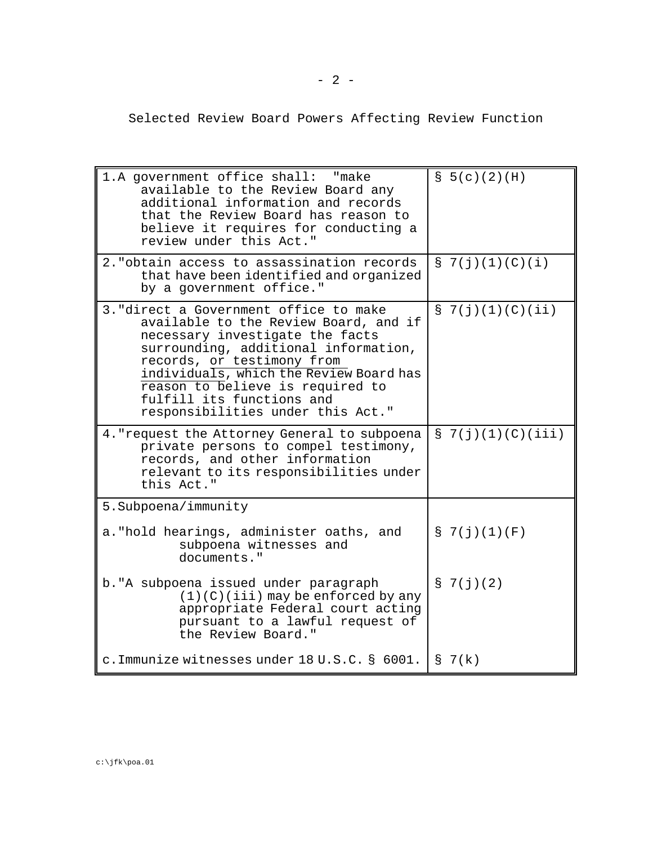Selected Review Board Powers Affecting Review Function

| 1.A government office shall: "make<br>available to the Review Board any<br>additional information and records<br>that the Review Board has reason to<br>believe it requires for conducting a<br>review under this Act."                                                                                                                   | $S$ 5(c)(2)(H)        |
|-------------------------------------------------------------------------------------------------------------------------------------------------------------------------------------------------------------------------------------------------------------------------------------------------------------------------------------------|-----------------------|
| 2. "obtain access to assassination records<br>that have been identified and organized<br>by a government office."                                                                                                                                                                                                                         | $\S$ 7(j)(1)(C)(i)    |
| 3. "direct a Government office to make<br>available to the Review Board, and if<br>necessary investigate the facts<br>surrounding, additional information,<br>records, or testimony from<br>individuals, which the Review Board has<br>reason to believe is required to<br>fulfill its functions and<br>responsibilities under this Act." | $\S$ 7(j)(1)(C)(ii)   |
| 4. "request the Attorney General to subpoena<br>private persons to compel testimony,<br>records, and other information<br>relevant to its responsibilities under<br>this Act."                                                                                                                                                            | $S \t7(j)(1)(C)(iii)$ |
| 5. Subpoena/immunity                                                                                                                                                                                                                                                                                                                      |                       |
| a. "hold hearings, administer oaths, and<br>subpoena witnesses and<br>documents."                                                                                                                                                                                                                                                         | $S \t7(j)(1)(F)$      |
| b. "A subpoena issued under paragraph<br>$(1)(C)(iii)$ may be enforced by any<br>appropriate Federal court acting<br>pursuant to a lawful request of<br>the Review Board."                                                                                                                                                                | $\S$ 7(j)(2)          |
| c. Immunize witnesses under 18 U.S.C. § 6001. $\lceil S \rceil$ 7(k)                                                                                                                                                                                                                                                                      |                       |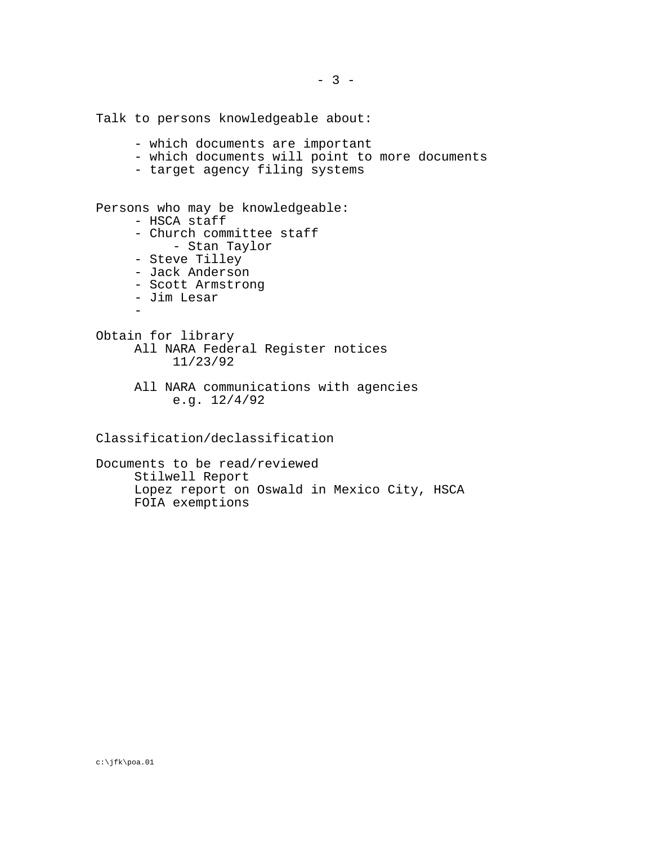Talk to persons knowledgeable about:

- which documents are important
- which documents will point to more documents
- target agency filing systems

Persons who may be knowledgeable:

- HSCA staff
	- Church committee staff
		- Stan Taylor
- Steve Tilley
- Jack Anderson
- Scott Armstrong
- Jim Lesar
- 
- Obtain for library All NARA Federal Register notices 11/23/92
	- All NARA communications with agencies e.g. 12/4/92

Classification/declassification

Documents to be read/reviewed Stilwell Report Lopez report on Oswald in Mexico City, HSCA FOIA exemptions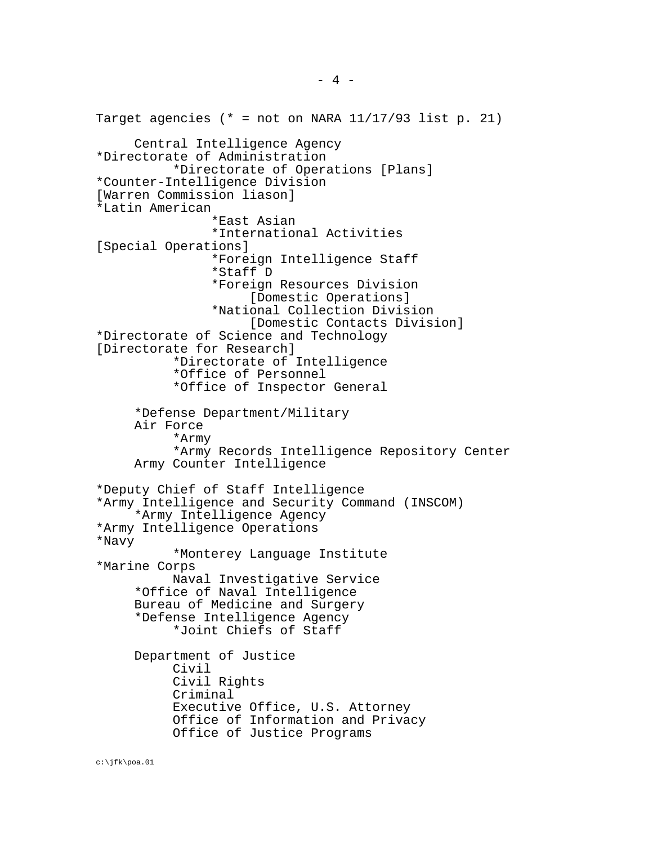Target agencies (\* = not on NARA  $11/17/93$  list p. 21) Central Intelligence Agency \*Directorate of Administration \*Directorate of Operations [Plans] \*Counter-Intelligence Division [Warren Commission liason] \*Latin American \*East Asian \*International Activities [Special Operations] \*Foreign Intelligence Staff \*Staff D \*Foreign Resources Division [Domestic Operations] \*National Collection Division [Domestic Contacts Division] \*Directorate of Science and Technology [Directorate for Research] \*Directorate of Intelligence \*Office of Personnel \*Office of Inspector General \*Defense Department/Military Air Force \*Army \*Army Records Intelligence Repository Center Army Counter Intelligence \*Deputy Chief of Staff Intelligence \*Army Intelligence and Security Command (INSCOM) \*Army Intelligence Agency \*Army Intelligence Operations \*Navy \*Monterey Language Institute \*Marine Corps Naval Investigative Service \*Office of Naval Intelligence Bureau of Medicine and Surgery \*Defense Intelligence Agency \*Joint Chiefs of Staff Department of Justice Civil Civil Rights Criminal Executive Office, U.S. Attorney Office of Information and Privacy Office of Justice Programs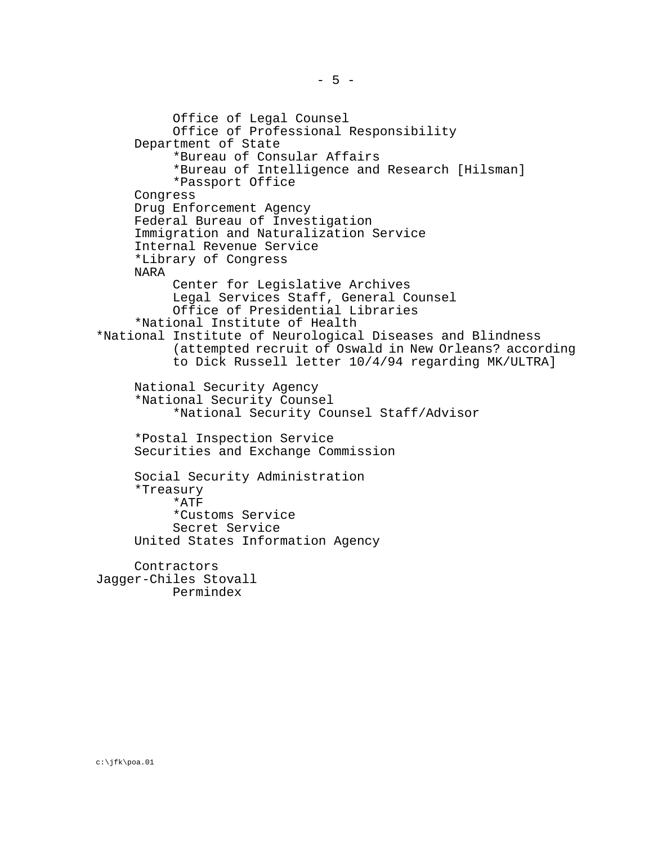Office of Legal Counsel Office of Professional Responsibility Department of State \*Bureau of Consular Affairs \*Bureau of Intelligence and Research [Hilsman] \*Passport Office Congress Drug Enforcement Agency Federal Bureau of Investigation Immigration and Naturalization Service Internal Revenue Service \*Library of Congress NARA Center for Legislative Archives Legal Services Staff, General Counsel Office of Presidential Libraries \*National Institute of Health \*National Institute of Neurological Diseases and Blindness (attempted recruit of Oswald in New Orleans? according to Dick Russell letter 10/4/94 regarding MK/ULTRA] National Security Agency \*National Security Counsel \*National Security Counsel Staff/Advisor \*Postal Inspection Service Securities and Exchange Commission Social Security Administration \*Treasury \*ATF \*Customs Service Secret Service United States Information Agency Contractors

Jagger-Chiles Stovall Permindex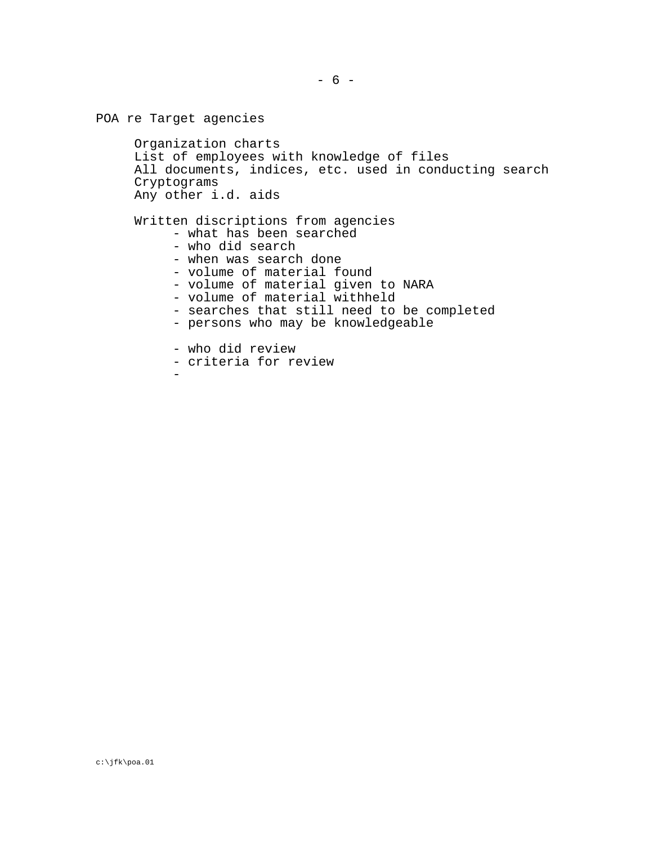```
POA re Target agencies
Organization charts
List of employees with knowledge of files
All documents, indices, etc. used in conducting search
Cryptograms
Any other i.d. aids
Written discriptions from agencies
      - what has been searched
      - who did search
      - when was search done
      - volume of material found
      - volume of material given to NARA<br>- volume of material withheld
      - searches that still need to be completed<br>- persons who may be knowledgeable
      - who did review - criteria for review -
```
- 
-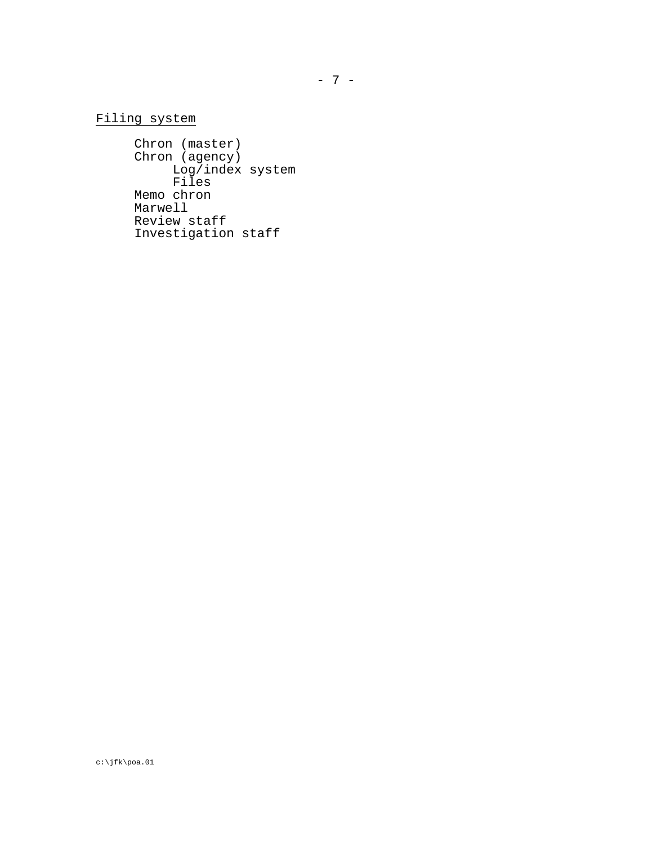## Filing system

Chron (master) Chron (agency) Log/index system Files Memo chron Marwell Review staff Investigation staff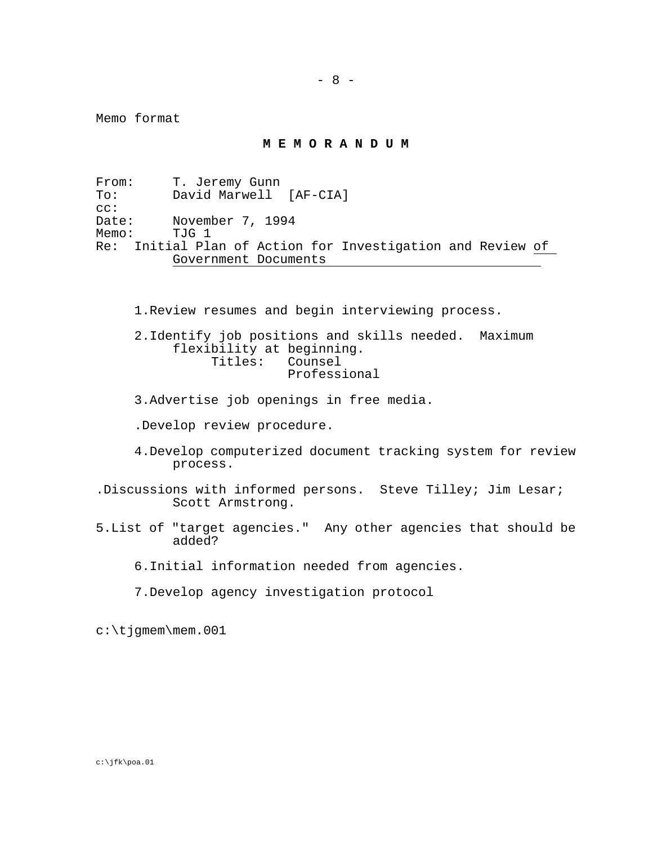Memo format

**M E M O R A N D U M**

From: T. Jeremy Gunn<br>To: David Marwell David Marwell [AF-CIA] cc:<br>Date: Date: November 7, 1994<br>Memo: TJG 1 TJG 1 Re: Initial Plan of Action for Investigation and Review of Government Documents

1.Review resumes and begin interviewing process.

2.Identify job positions and skills needed. Maximum flexibility at beginning. Titles: Counsel Professional

- 3.Advertise job openings in free media.
- .Develop review procedure.
- 4.Develop computerized document tracking system for review process.
- .Discussions with informed persons. Steve Tilley; Jim Lesar; Scott Armstrong.
- 5.List of "target agencies." Any other agencies that should be added?

6.Initial information needed from agencies.

7.Develop agency investigation protocol

c:\tjgmem\mem.001

c:\jfk\poa.01